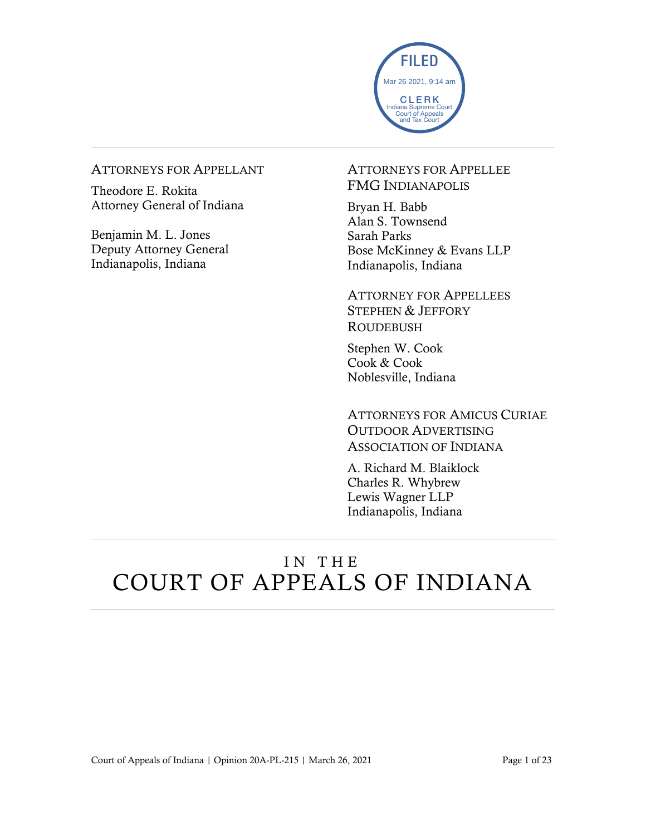

#### ATTORNEYS FOR APPELLANT

Theodore E. Rokita Attorney General of Indiana

Benjamin M. L. Jones Deputy Attorney General Indianapolis, Indiana

### ATTORNEYS FOR APPELLEE FMG INDIANAPOLIS

Bryan H. Babb Alan S. Townsend Sarah Parks Bose McKinney & Evans LLP Indianapolis, Indiana

ATTORNEY FOR APPELLEES STEPHEN & JEFFORY ROUDEBUSH

Stephen W. Cook Cook & Cook Noblesville, Indiana

ATTORNEYS FOR AMICUS CURIAE OUTDOOR ADVERTISING ASSOCIATION OF INDIANA

A. Richard M. Blaiklock Charles R. Whybrew Lewis Wagner LLP Indianapolis, Indiana

# IN THE COURT OF APPEALS OF INDIANA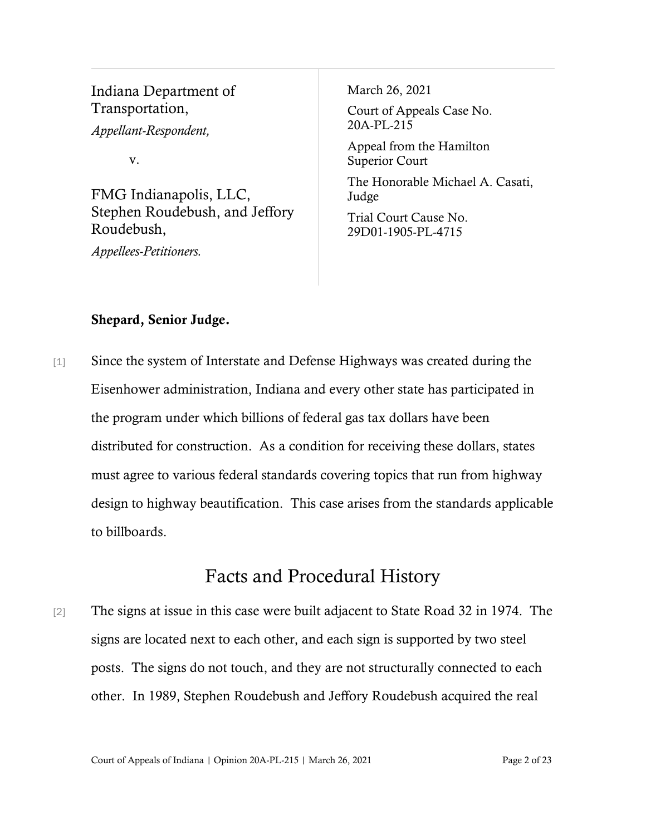Indiana Department of Transportation, *Appellant-Respondent,*

v.

FMG Indianapolis, LLC, Stephen Roudebush, and Jeffory Roudebush,

*Appellees-Petitioners.*

March 26, 2021

Court of Appeals Case No. 20A-PL-215

Appeal from the Hamilton Superior Court

The Honorable Michael A. Casati, Judge

Trial Court Cause No. 29D01-1905-PL-4715

## Shepard, Senior Judge.

[1] Since the system of Interstate and Defense Highways was created during the Eisenhower administration, Indiana and every other state has participated in the program under which billions of federal gas tax dollars have been distributed for construction. As a condition for receiving these dollars, states must agree to various federal standards covering topics that run from highway design to highway beautification. This case arises from the standards applicable to billboards.

# Facts and Procedural History

[2] The signs at issue in this case were built adjacent to State Road 32 in 1974. The signs are located next to each other, and each sign is supported by two steel posts. The signs do not touch, and they are not structurally connected to each other. In 1989, Stephen Roudebush and Jeffory Roudebush acquired the real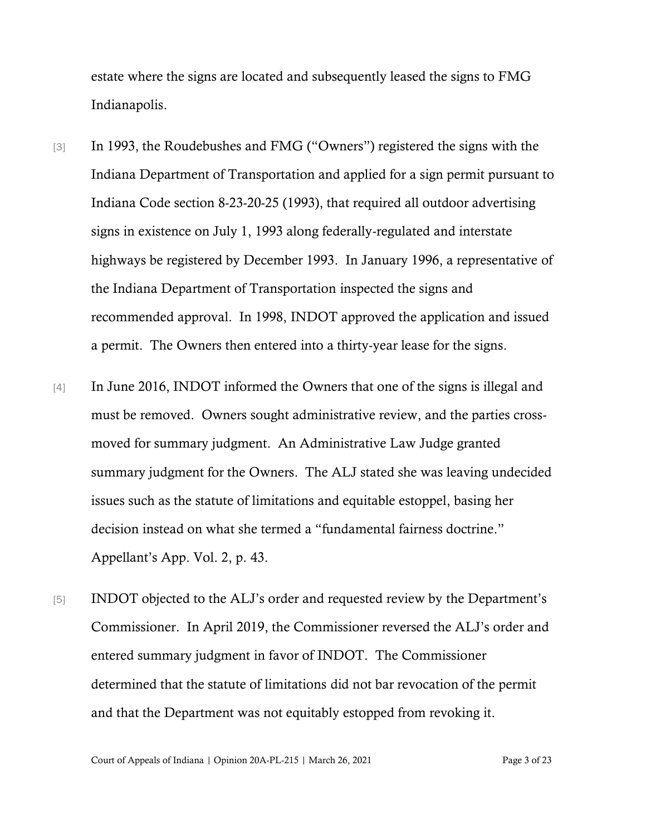estate where the signs are located and subsequently leased the signs to FMG Indianapolis.

- [3] In 1993, the Roudebushes and FMG ("Owners") registered the signs with the Indiana Department of Transportation and applied for a sign permit pursuant to Indiana Code section 8-23-20-25 (1993), that required all outdoor advertising signs in existence on July 1, 1993 along federally-regulated and interstate highways be registered by December 1993. In January 1996, a representative of the Indiana Department of Transportation inspected the signs and recommended approval. In 1998, INDOT approved the application and issued a permit. The Owners then entered into a thirty-year lease for the signs.
- [4] In June 2016, INDOT informed the Owners that one of the signs is illegal and must be removed. Owners sought administrative review, and the parties crossmoved for summary judgment. An Administrative Law Judge granted summary judgment for the Owners. The ALJ stated she was leaving undecided issues such as the statute of limitations and equitable estoppel, basing her decision instead on what she termed a "fundamental fairness doctrine." Appellant's App. Vol. 2, p. 43.
- [5] INDOT objected to the ALJ's order and requested review by the Department's Commissioner. In April 2019, the Commissioner reversed the ALJ's order and entered summary judgment in favor of INDOT. The Commissioner determined that the statute of limitations did not bar revocation of the permit and that the Department was not equitably estopped from revoking it.

Court of Appeals of Indiana | Opinion 20A-PL-215 | March 26, 2021 Page 3 of 23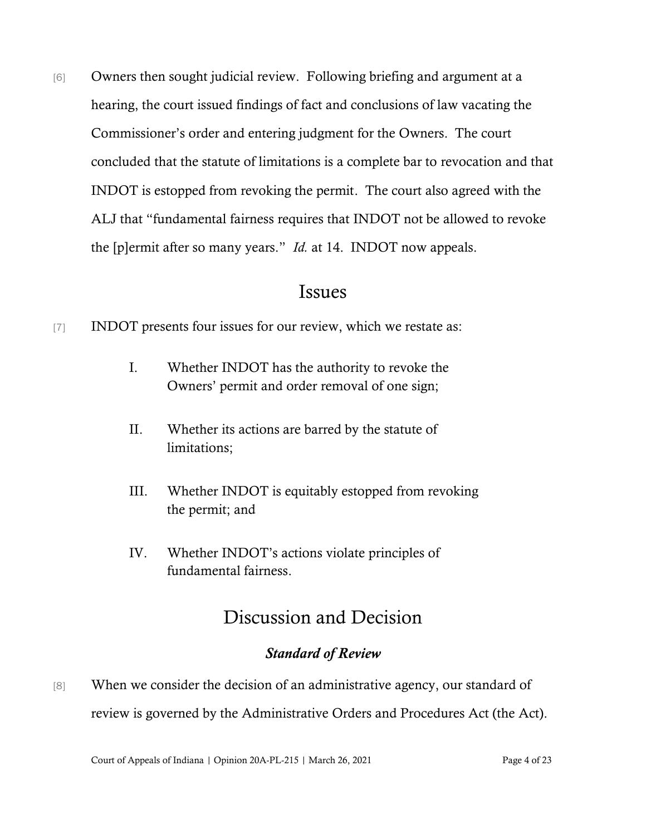[6] Owners then sought judicial review. Following briefing and argument at a hearing, the court issued findings of fact and conclusions of law vacating the Commissioner's order and entering judgment for the Owners. The court concluded that the statute of limitations is a complete bar to revocation and that INDOT is estopped from revoking the permit. The court also agreed with the ALJ that "fundamental fairness requires that INDOT not be allowed to revoke the [p]ermit after so many years." *Id.* at 14. INDOT now appeals.

# Issues

- [7] INDOT presents four issues for our review, which we restate as:
	- I. Whether INDOT has the authority to revoke the Owners' permit and order removal of one sign;
	- II. Whether its actions are barred by the statute of limitations;
	- III. Whether INDOT is equitably estopped from revoking the permit; and
	- IV. Whether INDOT's actions violate principles of fundamental fairness.

# Discussion and Decision

## *Standard of Review*

[8] When we consider the decision of an administrative agency, our standard of review is governed by the Administrative Orders and Procedures Act (the Act).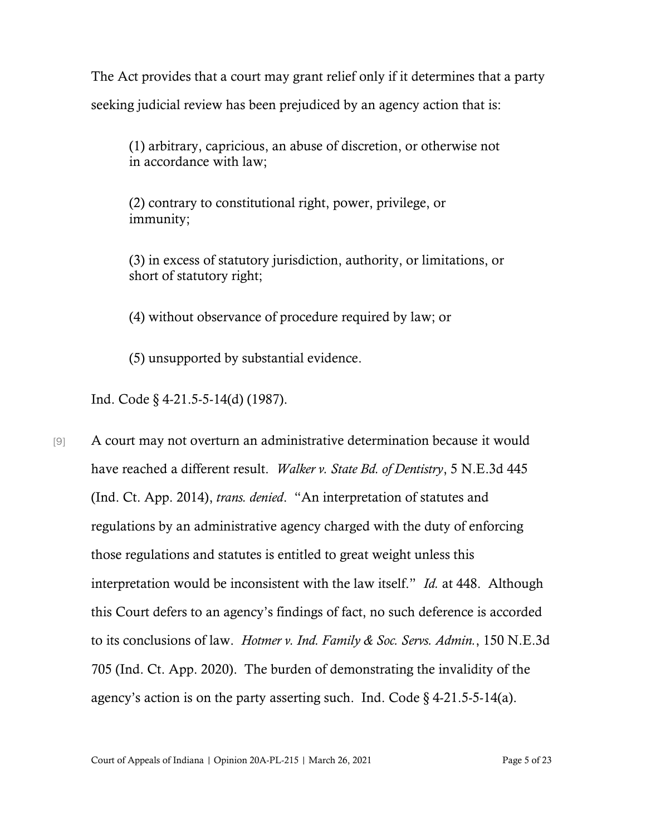The Act provides that a court may grant relief only if it determines that a party seeking judicial review has been prejudiced by an agency action that is:

(1) arbitrary, capricious, an abuse of discretion, or otherwise not in accordance with law;

(2) contrary to constitutional right, power, privilege, or immunity;

(3) in excess of statutory jurisdiction, authority, or limitations, or short of statutory right;

(4) without observance of procedure required by law; or

(5) unsupported by substantial evidence.

Ind. Code § 4-21.5-5-14(d) (1987).

[9] A court may not overturn an administrative determination because it would have reached a different result. *Walker v. State Bd. of Dentistry*, 5 N.E.3d 445 (Ind. Ct. App. 2014), *trans. denied*. "An interpretation of statutes and regulations by an administrative agency charged with the duty of enforcing those regulations and statutes is entitled to great weight unless this interpretation would be inconsistent with the law itself." *Id.* at 448. Although this Court defers to an agency's findings of fact, no such deference is accorded to its conclusions of law. *Hotmer v. Ind. Family & Soc. Servs. Admin.*, 150 N.E.3d 705 (Ind. Ct. App. 2020). The burden of demonstrating the invalidity of the agency's action is on the party asserting such. Ind. Code  $\S$  4-21.5-5-14(a).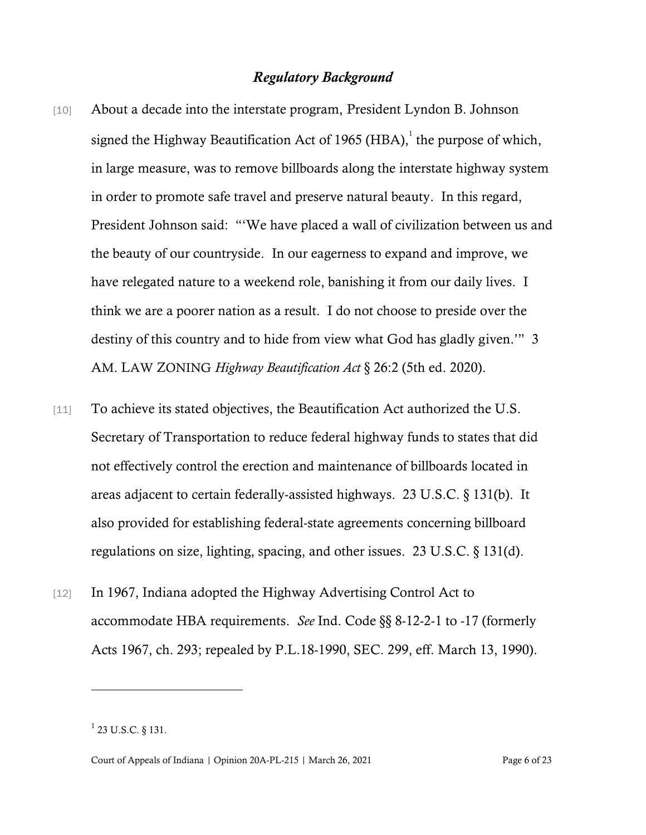#### *Regulatory Background*

- [10] About a decade into the interstate program, President Lyndon B. Johnson signed the Highway Beautification Act of 1965 (HBA), the purpose of which, in large measure, was to remove billboards along the interstate highway system in order to promote safe travel and preserve natural beauty. In this regard, President Johnson said: "'We have placed a wall of civilization between us and the beauty of our countryside. In our eagerness to expand and improve, we have relegated nature to a weekend role, banishing it from our daily lives. I think we are a poorer nation as a result. I do not choose to preside over the destiny of this country and to hide from view what God has gladly given.'" 3 AM. LAW ZONING *Highway Beautification Act* § 26:2 (5th ed. 2020).
- [11] To achieve its stated objectives, the Beautification Act authorized the U.S. Secretary of Transportation to reduce federal highway funds to states that did not effectively control the erection and maintenance of billboards located in areas adjacent to certain federally-assisted highways. 23 U.S.C. § 131(b). It also provided for establishing federal-state agreements concerning billboard regulations on size, lighting, spacing, and other issues. 23 U.S.C. § 131(d).
- [12] In 1967, Indiana adopted the Highway Advertising Control Act to accommodate HBA requirements. *See* Ind. Code §§ 8-12-2-1 to -17 (formerly Acts 1967, ch. 293; repealed by P.L.18-1990, SEC. 299, eff. March 13, 1990).

 $^{1}$  23 U.S.C. § 131.

Court of Appeals of Indiana | Opinion 20A-PL-215 | March 26, 2021 Page 6 of 23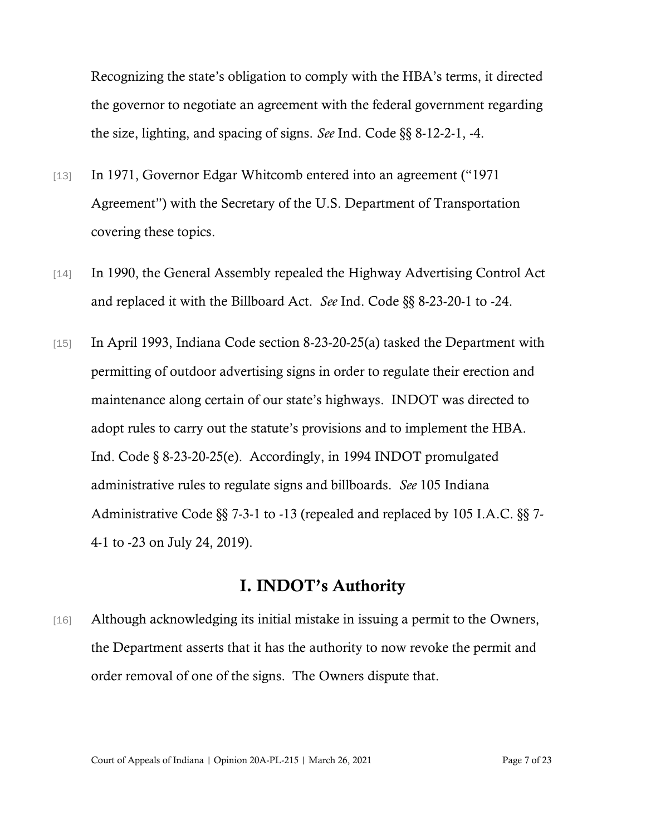Recognizing the state's obligation to comply with the HBA's terms, it directed the governor to negotiate an agreement with the federal government regarding the size, lighting, and spacing of signs. *See* Ind. Code §§ 8-12-2-1, -4.

- [13] In 1971, Governor Edgar Whitcomb entered into an agreement ("1971 Agreement") with the Secretary of the U.S. Department of Transportation covering these topics.
- [14] In 1990, the General Assembly repealed the Highway Advertising Control Act and replaced it with the Billboard Act. *See* Ind. Code §§ 8-23-20-1 to -24.
- [15] In April 1993, Indiana Code section 8-23-20-25(a) tasked the Department with permitting of outdoor advertising signs in order to regulate their erection and maintenance along certain of our state's highways. INDOT was directed to adopt rules to carry out the statute's provisions and to implement the HBA. Ind. Code § 8-23-20-25(e). Accordingly, in 1994 INDOT promulgated administrative rules to regulate signs and billboards. *See* 105 Indiana Administrative Code §§ 7-3-1 to -13 (repealed and replaced by 105 I.A.C. §§ 7- 4-1 to -23 on July 24, 2019).

## I. INDOT's Authority

[16] Although acknowledging its initial mistake in issuing a permit to the Owners, the Department asserts that it has the authority to now revoke the permit and order removal of one of the signs. The Owners dispute that.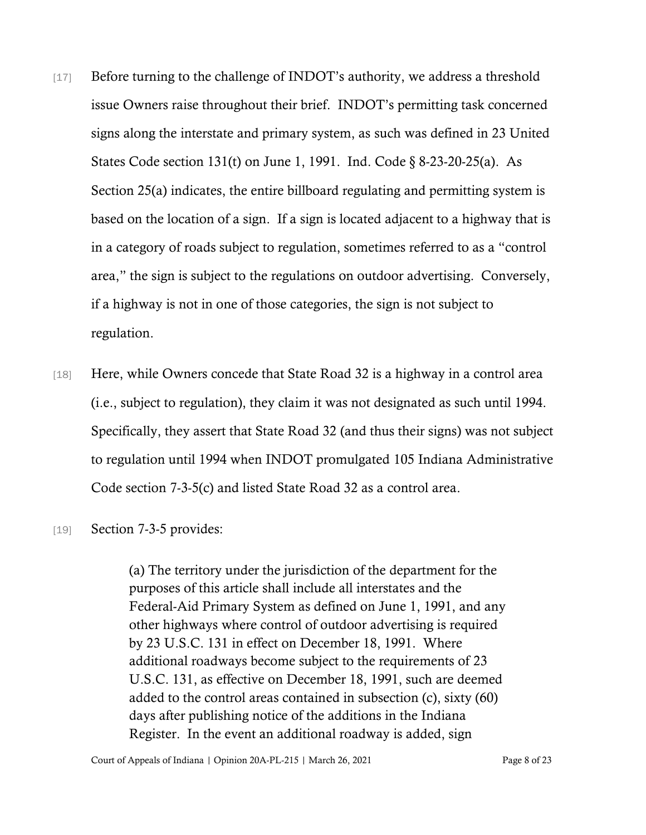- [17] Before turning to the challenge of INDOT's authority, we address a threshold issue Owners raise throughout their brief. INDOT's permitting task concerned signs along the interstate and primary system, as such was defined in 23 United States Code section 131(t) on June 1, 1991. Ind. Code § 8-23-20-25(a). As Section 25(a) indicates, the entire billboard regulating and permitting system is based on the location of a sign. If a sign is located adjacent to a highway that is in a category of roads subject to regulation, sometimes referred to as a "control area," the sign is subject to the regulations on outdoor advertising. Conversely, if a highway is not in one of those categories, the sign is not subject to regulation.
- [18] Here, while Owners concede that State Road 32 is a highway in a control area (i.e., subject to regulation), they claim it was not designated as such until 1994. Specifically, they assert that State Road 32 (and thus their signs) was not subject to regulation until 1994 when INDOT promulgated 105 Indiana Administrative Code section 7-3-5(c) and listed State Road 32 as a control area.
- [19] Section 7-3-5 provides:

(a) The territory under the jurisdiction of the department for the purposes of this article shall include all interstates and the Federal-Aid Primary System as defined on June 1, 1991, and any other highways where control of outdoor advertising is required by 23 U.S.C. 131 in effect on December 18, 1991. Where additional roadways become subject to the requirements of 23 U.S.C. 131, as effective on December 18, 1991, such are deemed added to the control areas contained in subsection (c), sixty (60) days after publishing notice of the additions in the Indiana Register. In the event an additional roadway is added, sign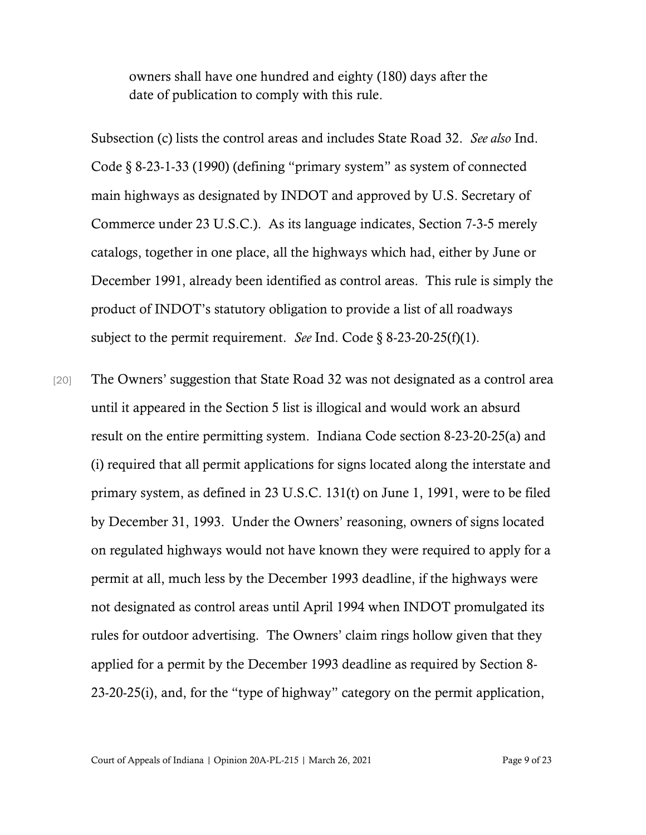owners shall have one hundred and eighty (180) days after the date of publication to comply with this rule.

Subsection (c) lists the control areas and includes State Road 32. *See also* Ind. Code § 8-23-1-33 (1990) (defining "primary system" as system of connected main highways as designated by INDOT and approved by U.S. Secretary of Commerce under 23 U.S.C.). As its language indicates, Section 7-3-5 merely catalogs, together in one place, all the highways which had, either by June or December 1991, already been identified as control areas. This rule is simply the product of INDOT's statutory obligation to provide a list of all roadways subject to the permit requirement. *See* Ind. Code § 8-23-20-25(f)(1).

[20] The Owners' suggestion that State Road 32 was not designated as a control area until it appeared in the Section 5 list is illogical and would work an absurd result on the entire permitting system. Indiana Code section 8-23-20-25(a) and (i) required that all permit applications for signs located along the interstate and primary system, as defined in 23 U.S.C. 131(t) on June 1, 1991, were to be filed by December 31, 1993. Under the Owners' reasoning, owners of signs located on regulated highways would not have known they were required to apply for a permit at all, much less by the December 1993 deadline, if the highways were not designated as control areas until April 1994 when INDOT promulgated its rules for outdoor advertising. The Owners' claim rings hollow given that they applied for a permit by the December 1993 deadline as required by Section 8- 23-20-25(i), and, for the "type of highway" category on the permit application,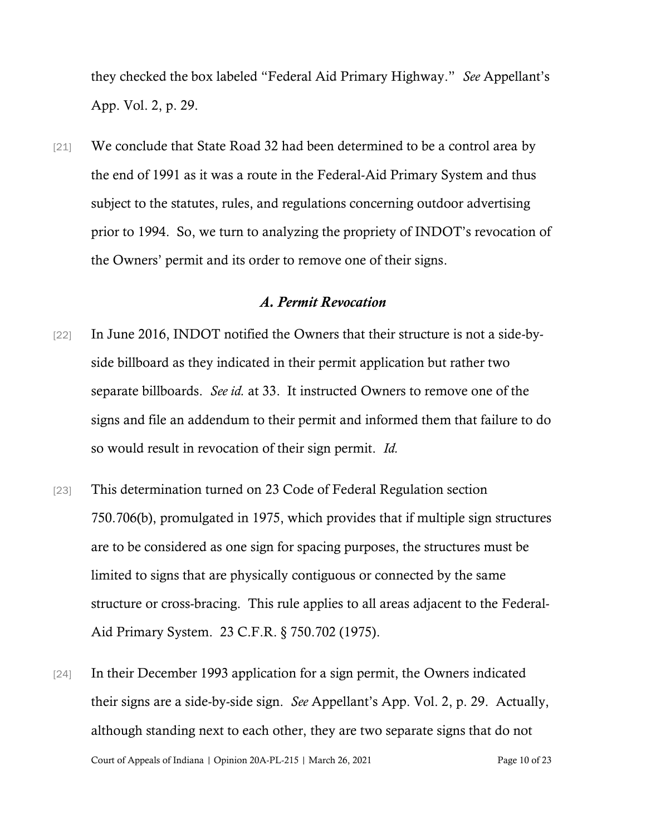they checked the box labeled "Federal Aid Primary Highway." *See* Appellant's App. Vol. 2, p. 29.

[21] We conclude that State Road 32 had been determined to be a control area by the end of 1991 as it was a route in the Federal-Aid Primary System and thus subject to the statutes, rules, and regulations concerning outdoor advertising prior to 1994. So, we turn to analyzing the propriety of INDOT's revocation of the Owners' permit and its order to remove one of their signs.

#### *A. Permit Revocation*

- [22] In June 2016, INDOT notified the Owners that their structure is not a side-byside billboard as they indicated in their permit application but rather two separate billboards. *See id.* at 33. It instructed Owners to remove one of the signs and file an addendum to their permit and informed them that failure to do so would result in revocation of their sign permit. *Id.*
- [23] This determination turned on 23 Code of Federal Regulation section 750.706(b), promulgated in 1975, which provides that if multiple sign structures are to be considered as one sign for spacing purposes, the structures must be limited to signs that are physically contiguous or connected by the same structure or cross-bracing. This rule applies to all areas adjacent to the Federal-Aid Primary System. 23 C.F.R. § 750.702 (1975).
- Court of Appeals of Indiana | Opinion 20A-PL-215 | March 26, 2021 Page 10 of 23 [24] In their December 1993 application for a sign permit, the Owners indicated their signs are a side-by-side sign. *See* Appellant's App. Vol. 2, p. 29. Actually, although standing next to each other, they are two separate signs that do not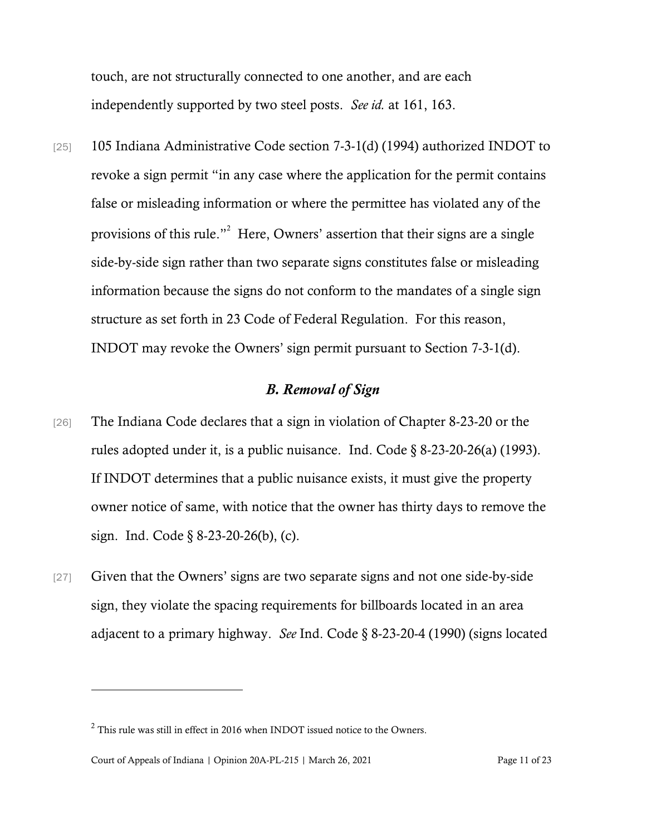touch, are not structurally connected to one another, and are each independently supported by two steel posts. *See id.* at 161, 163.

[25] 105 Indiana Administrative Code section 7-3-1(d) (1994) authorized INDOT to revoke a sign permit "in any case where the application for the permit contains false or misleading information or where the permittee has violated any of the provisions of this rule."<sup>2</sup> Here, Owners' assertion that their signs are a single side-by-side sign rather than two separate signs constitutes false or misleading information because the signs do not conform to the mandates of a single sign structure as set forth in 23 Code of Federal Regulation. For this reason, INDOT may revoke the Owners' sign permit pursuant to Section 7-3-1(d).

### *B. Removal of Sign*

- [26] The Indiana Code declares that a sign in violation of Chapter 8-23-20 or the rules adopted under it, is a public nuisance. Ind. Code § 8-23-20-26(a) (1993). If INDOT determines that a public nuisance exists, it must give the property owner notice of same, with notice that the owner has thirty days to remove the sign. Ind. Code § 8-23-20-26(b), (c).
- [27] Given that the Owners' signs are two separate signs and not one side-by-side sign, they violate the spacing requirements for billboards located in an area adjacent to a primary highway. *See* Ind. Code § 8-23-20-4 (1990) (signs located

 $2$  This rule was still in effect in 2016 when INDOT issued notice to the Owners.

Court of Appeals of Indiana | Opinion 20A-PL-215 | March 26, 2021 Page 11 of 23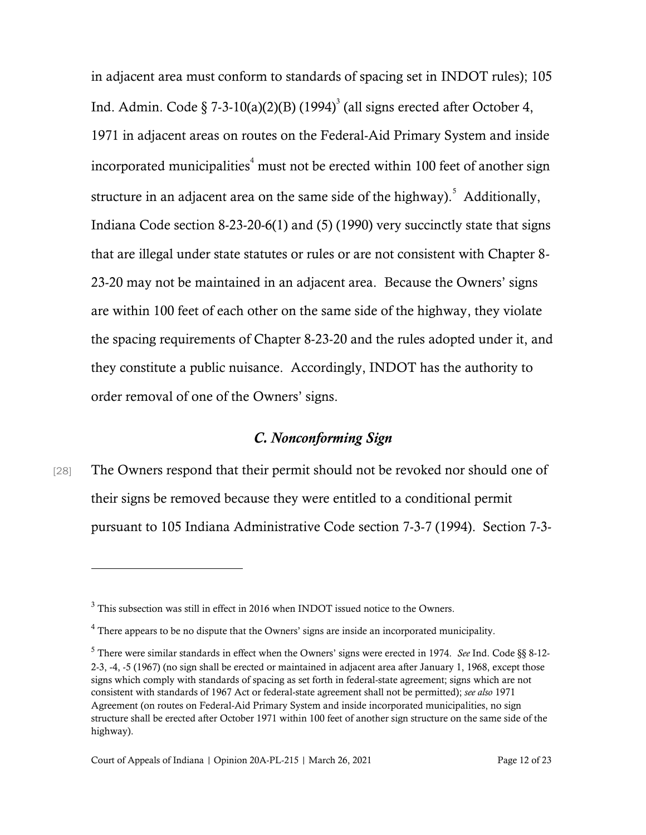in adjacent area must conform to standards of spacing set in INDOT rules); 105 Ind. Admin. Code § 7-3-10(a)(2)(B) (1994)<sup>3</sup> (all signs erected after October 4, 1971 in adjacent areas on routes on the Federal-Aid Primary System and inside incorporated municipalities<sup> $4$ </sup> must not be erected within 100 feet of another sign structure in an adjacent area on the same side of the highway). Additionally, Indiana Code section 8-23-20-6(1) and (5) (1990) very succinctly state that signs that are illegal under state statutes or rules or are not consistent with Chapter 8- 23-20 may not be maintained in an adjacent area. Because the Owners' signs are within 100 feet of each other on the same side of the highway, they violate the spacing requirements of Chapter 8-23-20 and the rules adopted under it, and they constitute a public nuisance. Accordingly, INDOT has the authority to order removal of one of the Owners' signs.

## *C. Nonconforming Sign*

[28] The Owners respond that their permit should not be revoked nor should one of their signs be removed because they were entitled to a conditional permit pursuant to 105 Indiana Administrative Code section 7-3-7 (1994). Section 7-3-

<sup>3</sup> This subsection was still in effect in 2016 when INDOT issued notice to the Owners.

<sup>&</sup>lt;sup>4</sup> There appears to be no dispute that the Owners' signs are inside an incorporated municipality.

<sup>5</sup> There were similar standards in effect when the Owners' signs were erected in 1974. *See* Ind. Code §§ 8-12- 2-3, -4, -5 (1967) (no sign shall be erected or maintained in adjacent area after January 1, 1968, except those signs which comply with standards of spacing as set forth in federal-state agreement; signs which are not consistent with standards of 1967 Act or federal-state agreement shall not be permitted); *see also* 1971 Agreement (on routes on Federal-Aid Primary System and inside incorporated municipalities, no sign structure shall be erected after October 1971 within 100 feet of another sign structure on the same side of the highway).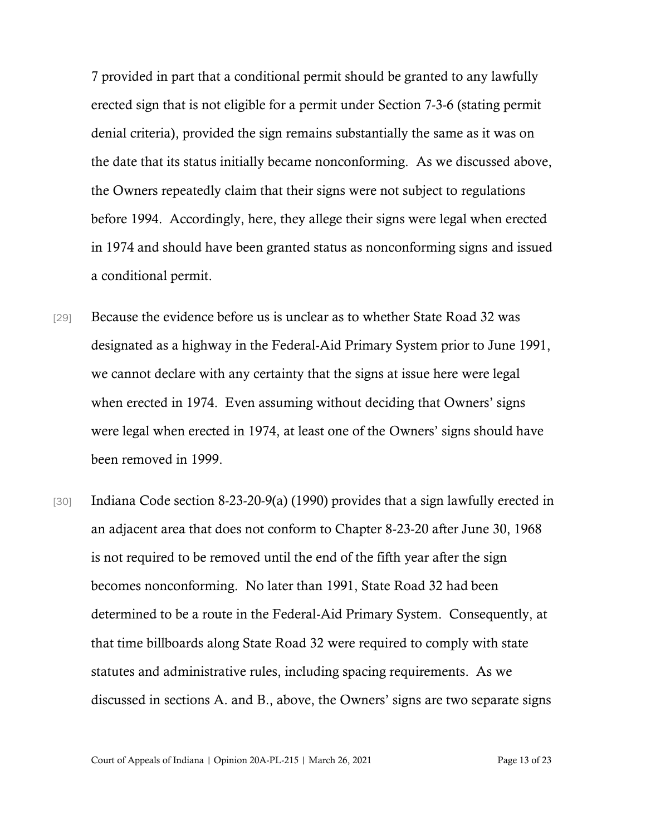7 provided in part that a conditional permit should be granted to any lawfully erected sign that is not eligible for a permit under Section 7-3-6 (stating permit denial criteria), provided the sign remains substantially the same as it was on the date that its status initially became nonconforming. As we discussed above, the Owners repeatedly claim that their signs were not subject to regulations before 1994. Accordingly, here, they allege their signs were legal when erected in 1974 and should have been granted status as nonconforming signs and issued a conditional permit.

- [29] Because the evidence before us is unclear as to whether State Road 32 was designated as a highway in the Federal-Aid Primary System prior to June 1991, we cannot declare with any certainty that the signs at issue here were legal when erected in 1974. Even assuming without deciding that Owners' signs were legal when erected in 1974, at least one of the Owners' signs should have been removed in 1999.
- [30] Indiana Code section 8-23-20-9(a) (1990) provides that a sign lawfully erected in an adjacent area that does not conform to Chapter 8-23-20 after June 30, 1968 is not required to be removed until the end of the fifth year after the sign becomes nonconforming. No later than 1991, State Road 32 had been determined to be a route in the Federal-Aid Primary System. Consequently, at that time billboards along State Road 32 were required to comply with state statutes and administrative rules, including spacing requirements. As we discussed in sections A. and B., above, the Owners' signs are two separate signs

Court of Appeals of Indiana | Opinion 20A-PL-215 | March 26, 2021 Page 13 of 23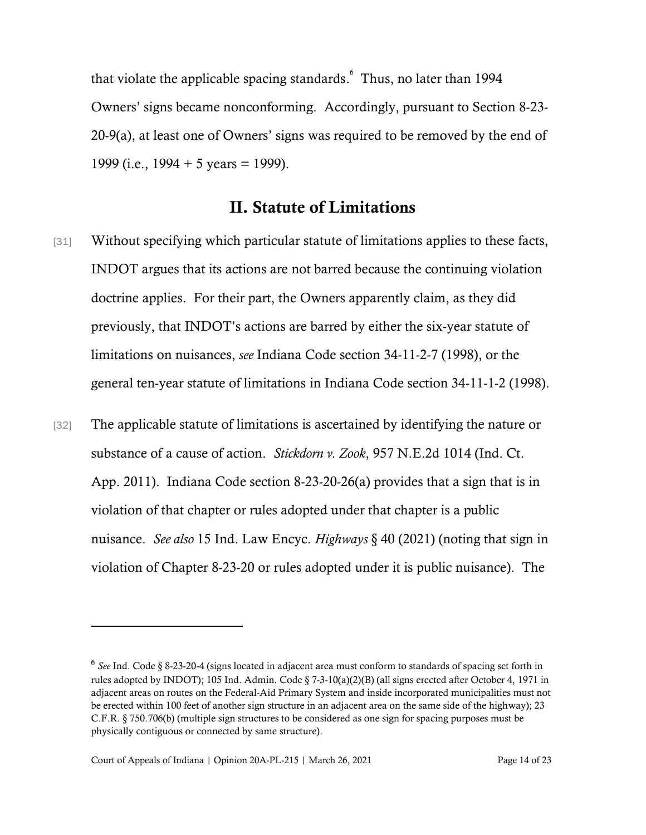that violate the applicable spacing standards. 6 Thus, no later than 1994 Owners' signs became nonconforming. Accordingly, pursuant to Section 8-23- 20-9(a), at least one of Owners' signs was required to be removed by the end of 1999 (i.e.,  $1994 + 5$  years = 1999).

## II. Statute of Limitations

- [31] Without specifying which particular statute of limitations applies to these facts, INDOT argues that its actions are not barred because the continuing violation doctrine applies. For their part, the Owners apparently claim, as they did previously, that INDOT's actions are barred by either the six-year statute of limitations on nuisances, *see* Indiana Code section 34-11-2-7 (1998), or the general ten-year statute of limitations in Indiana Code section 34-11-1-2 (1998).
- [32] The applicable statute of limitations is ascertained by identifying the nature or substance of a cause of action. *Stickdorn v. Zook*, 957 N.E.2d 1014 (Ind. Ct. App. 2011). Indiana Code section 8-23-20-26(a) provides that a sign that is in violation of that chapter or rules adopted under that chapter is a public nuisance. *See also* 15 Ind. Law Encyc. *Highways* § 40 (2021) (noting that sign in violation of Chapter 8-23-20 or rules adopted under it is public nuisance). The

<sup>6</sup> *See* Ind. Code § 8-23-20-4 (signs located in adjacent area must conform to standards of spacing set forth in rules adopted by INDOT); 105 Ind. Admin. Code § 7-3-10(a)(2)(B) (all signs erected after October 4, 1971 in adjacent areas on routes on the Federal-Aid Primary System and inside incorporated municipalities must not be erected within 100 feet of another sign structure in an adjacent area on the same side of the highway); 23 C.F.R. § 750.706(b) (multiple sign structures to be considered as one sign for spacing purposes must be physically contiguous or connected by same structure).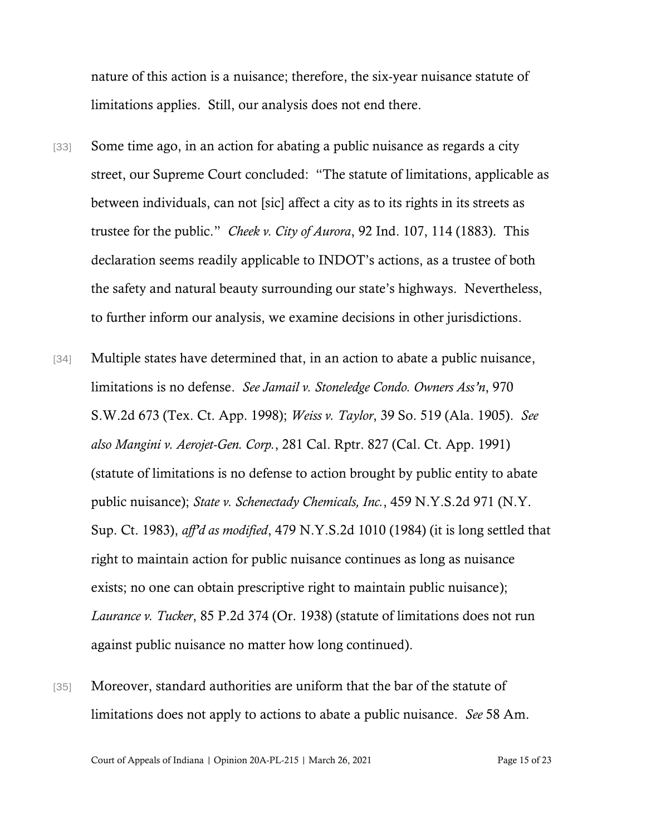nature of this action is a nuisance; therefore, the six-year nuisance statute of limitations applies. Still, our analysis does not end there.

- [33] Some time ago, in an action for abating a public nuisance as regards a city street, our Supreme Court concluded: "The statute of limitations, applicable as between individuals, can not [sic] affect a city as to its rights in its streets as trustee for the public." *Cheek v. City of Aurora*, 92 Ind. 107, 114 (1883). This declaration seems readily applicable to INDOT's actions, as a trustee of both the safety and natural beauty surrounding our state's highways. Nevertheless, to further inform our analysis, we examine decisions in other jurisdictions.
- [34] Multiple states have determined that, in an action to abate a public nuisance, limitations is no defense. *See Jamail v. Stoneledge Condo. Owners Ass'n*, 970 S.W.2d 673 (Tex. Ct. App. 1998); *Weiss v. Taylor*, 39 So. 519 (Ala. 1905). *See also Mangini v. Aerojet-Gen. Corp.*, 281 Cal. Rptr. 827 (Cal. Ct. App. 1991) (statute of limitations is no defense to action brought by public entity to abate public nuisance); *State v. Schenectady Chemicals, Inc.*, 459 N.Y.S.2d 971 (N.Y. Sup. Ct. 1983), *aff'd as modified*, 479 N.Y.S.2d 1010 (1984) (it is long settled that right to maintain action for public nuisance continues as long as nuisance exists; no one can obtain prescriptive right to maintain public nuisance); *Laurance v. Tucker*, 85 P.2d 374 (Or. 1938) (statute of limitations does not run against public nuisance no matter how long continued).
- [35] Moreover, standard authorities are uniform that the bar of the statute of limitations does not apply to actions to abate a public nuisance. *See* 58 Am.

Court of Appeals of Indiana | Opinion 20A-PL-215 | March 26, 2021 Page 15 of 23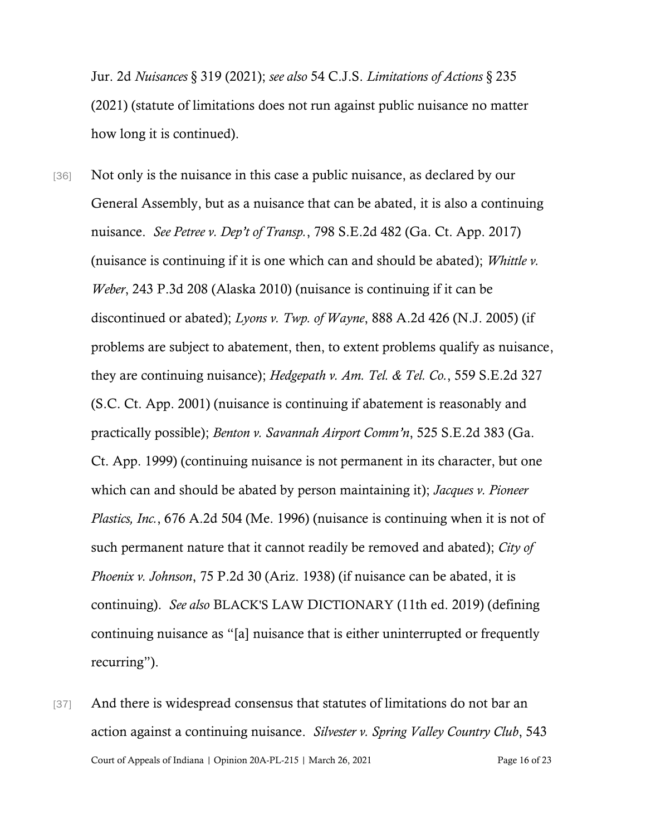Jur. 2d *Nuisances* § 319 (2021); *see also* 54 C.J.S. *Limitations of Actions* § 235 (2021) (statute of limitations does not run against public nuisance no matter how long it is continued).

- [36] Not only is the nuisance in this case a public nuisance, as declared by our General Assembly, but as a nuisance that can be abated, it is also a continuing nuisance. *See Petree v. Dep't of Transp.*, 798 S.E.2d 482 (Ga. Ct. App. 2017) (nuisance is continuing if it is one which can and should be abated); *Whittle v. Weber*, 243 P.3d 208 (Alaska 2010) (nuisance is continuing if it can be discontinued or abated); *Lyons v. Twp. of Wayne*, 888 A.2d 426 (N.J. 2005) (if problems are subject to abatement, then, to extent problems qualify as nuisance, they are continuing nuisance); *Hedgepath v. Am. Tel. & Tel. Co.*, 559 S.E.2d 327 (S.C. Ct. App. 2001) (nuisance is continuing if abatement is reasonably and practically possible); *Benton v. Savannah Airport Comm'n*, 525 S.E.2d 383 (Ga. Ct. App. 1999) (continuing nuisance is not permanent in its character, but one which can and should be abated by person maintaining it); *Jacques v. Pioneer Plastics, Inc.*, 676 A.2d 504 (Me. 1996) (nuisance is continuing when it is not of such permanent nature that it cannot readily be removed and abated); *City of Phoenix v. Johnson*, 75 P.2d 30 (Ariz. 1938) (if nuisance can be abated, it is continuing). *See also* BLACK'S LAW DICTIONARY (11th ed. 2019) (defining continuing nuisance as "[a] nuisance that is either uninterrupted or frequently recurring").
- Court of Appeals of Indiana | Opinion 20A-PL-215 | March 26, 2021 Page 16 of 23 [37] And there is widespread consensus that statutes of limitations do not bar an action against a continuing nuisance. *Silvester v. Spring Valley Country Club*, 543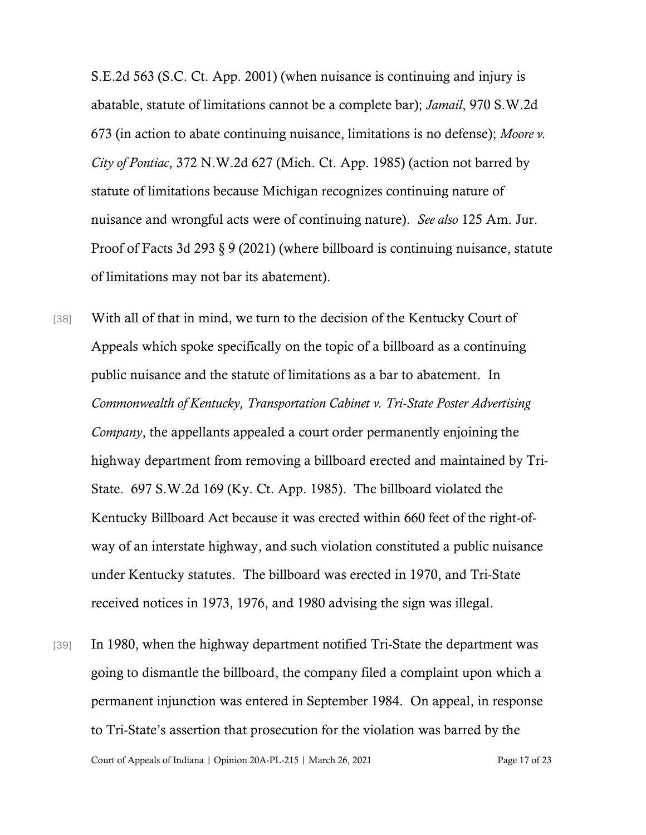S.E.2d 563 (S.C. Ct. App. 2001) (when nuisance is continuing and injury is abatable, statute of limitations cannot be a complete bar); *Jamail*, 970 S.W.2d 673 (in action to abate continuing nuisance, limitations is no defense); *Moore v. City of Pontiac*, 372 N.W.2d 627 (Mich. Ct. App. 1985) (action not barred by statute of limitations because Michigan recognizes continuing nature of nuisance and wrongful acts were of continuing nature). *See also* 125 Am. Jur. Proof of Facts 3d 293 § 9 (2021) (where billboard is continuing nuisance, statute of limitations may not bar its abatement).

- [38] With all of that in mind, we turn to the decision of the Kentucky Court of Appeals which spoke specifically on the topic of a billboard as a continuing public nuisance and the statute of limitations as a bar to abatement. In *Commonwealth of Kentucky, Transportation Cabinet v. Tri-State Poster Advertising Company*, the appellants appealed a court order permanently enjoining the highway department from removing a billboard erected and maintained by Tri-State. 697 S.W.2d 169 (Ky. Ct. App. 1985). The billboard violated the Kentucky Billboard Act because it was erected within 660 feet of the right-ofway of an interstate highway, and such violation constituted a public nuisance under Kentucky statutes. The billboard was erected in 1970, and Tri-State received notices in 1973, 1976, and 1980 advising the sign was illegal.
- [39] In 1980, when the highway department notified Tri-State the department was going to dismantle the billboard, the company filed a complaint upon which a permanent injunction was entered in September 1984. On appeal, in response to Tri-State's assertion that prosecution for the violation was barred by the

Court of Appeals of Indiana | Opinion 20A-PL-215 | March 26, 2021 Page 17 of 23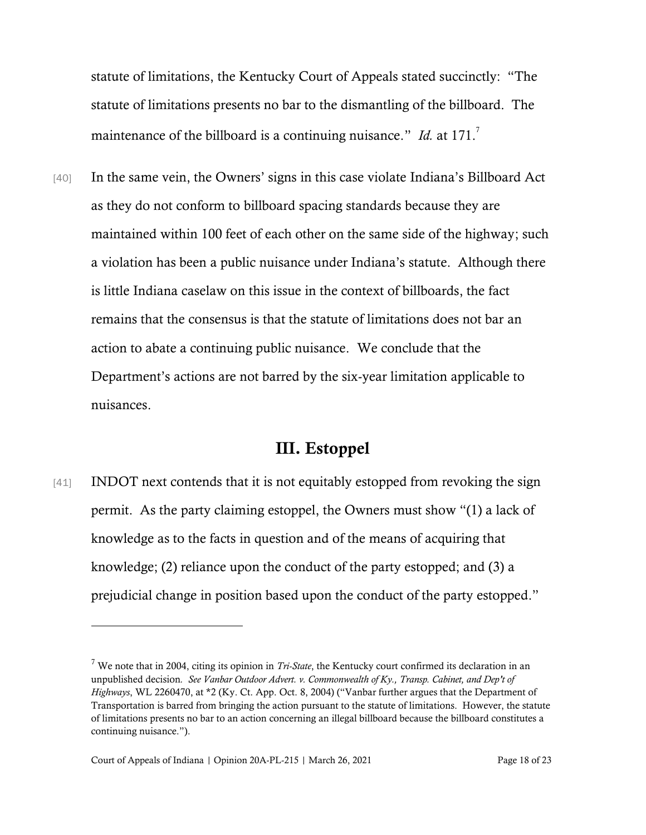statute of limitations, the Kentucky Court of Appeals stated succinctly: "The statute of limitations presents no bar to the dismantling of the billboard. The maintenance of the billboard is a continuing nuisance." *Id.* at 171.

[40] In the same vein, the Owners' signs in this case violate Indiana's Billboard Act as they do not conform to billboard spacing standards because they are maintained within 100 feet of each other on the same side of the highway; such a violation has been a public nuisance under Indiana's statute. Although there is little Indiana caselaw on this issue in the context of billboards, the fact remains that the consensus is that the statute of limitations does not bar an action to abate a continuing public nuisance. We conclude that the Department's actions are not barred by the six-year limitation applicable to nuisances.

## III. Estoppel

[41] INDOT next contends that it is not equitably estopped from revoking the sign permit. As the party claiming estoppel, the Owners must show "(1) a lack of knowledge as to the facts in question and of the means of acquiring that knowledge; (2) reliance upon the conduct of the party estopped; and (3) a prejudicial change in position based upon the conduct of the party estopped."

<sup>7</sup> We note that in 2004, citing its opinion in *Tri-State*, the Kentucky court confirmed its declaration in an unpublished decision*. See Vanbar Outdoor Advert. v. Commonwealth of Ky., Transp. Cabinet, and Dep't of Highways*, WL 2260470, at \*2 (Ky. Ct. App. Oct. 8, 2004) ("Vanbar further argues that the Department of Transportation is barred from bringing the action pursuant to the statute of limitations. However, the statute of limitations presents no bar to an action concerning an illegal billboard because the billboard constitutes a continuing nuisance.").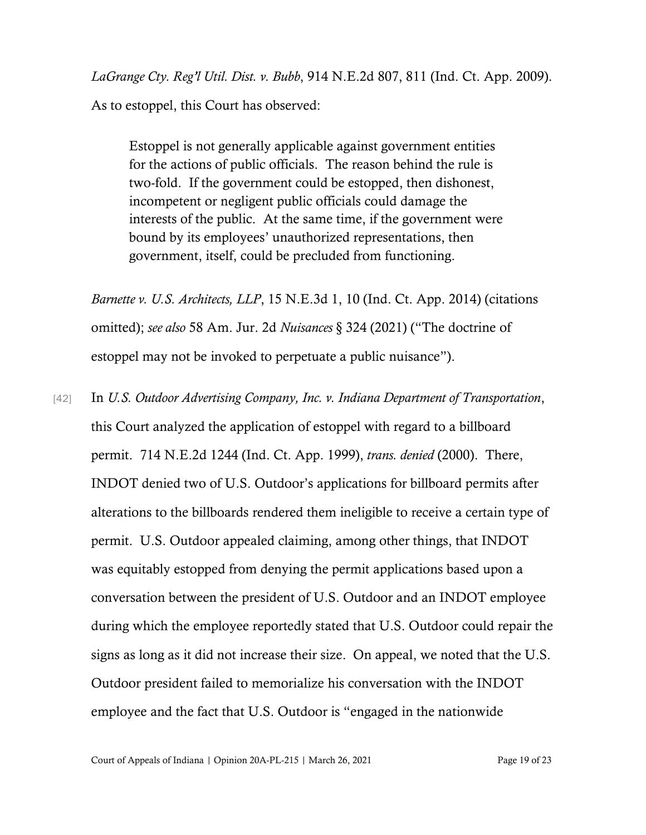*LaGrange Cty. Reg'l Util. Dist. v. Bubb*, 914 N.E.2d 807, 811 (Ind. Ct. App. 2009).

As to estoppel, this Court has observed:

Estoppel is not generally applicable against government entities for the actions of public officials. The reason behind the rule is two-fold. If the government could be estopped, then dishonest, incompetent or negligent public officials could damage the interests of the public. At the same time, if the government were bound by its employees' unauthorized representations, then government, itself, could be precluded from functioning.

*Barnette v. U.S. Architects, LLP*, 15 N.E.3d 1, 10 (Ind. Ct. App. 2014) (citations omitted); *see also* 58 Am. Jur. 2d *Nuisances* § 324 (2021) ("The doctrine of estoppel may not be invoked to perpetuate a public nuisance").

[42] In *U.S. Outdoor Advertising Company, Inc. v. Indiana Department of Transportation*, this Court analyzed the application of estoppel with regard to a billboard permit. 714 N.E.2d 1244 (Ind. Ct. App. 1999), *trans. denied* (2000). There, INDOT denied two of U.S. Outdoor's applications for billboard permits after alterations to the billboards rendered them ineligible to receive a certain type of permit. U.S. Outdoor appealed claiming, among other things, that INDOT was equitably estopped from denying the permit applications based upon a conversation between the president of U.S. Outdoor and an INDOT employee during which the employee reportedly stated that U.S. Outdoor could repair the signs as long as it did not increase their size. On appeal, we noted that the U.S. Outdoor president failed to memorialize his conversation with the INDOT employee and the fact that U.S. Outdoor is "engaged in the nationwide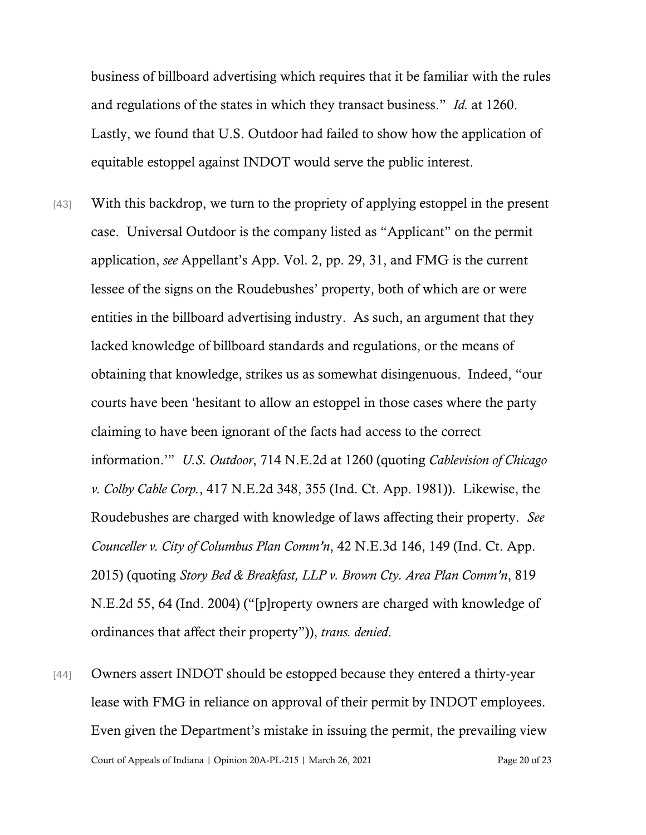business of billboard advertising which requires that it be familiar with the rules and regulations of the states in which they transact business." *Id.* at 1260. Lastly, we found that U.S. Outdoor had failed to show how the application of equitable estoppel against INDOT would serve the public interest.

- [43] With this backdrop, we turn to the propriety of applying estoppel in the present case. Universal Outdoor is the company listed as "Applicant" on the permit application, *see* Appellant's App. Vol. 2, pp. 29, 31, and FMG is the current lessee of the signs on the Roudebushes' property, both of which are or were entities in the billboard advertising industry. As such, an argument that they lacked knowledge of billboard standards and regulations, or the means of obtaining that knowledge, strikes us as somewhat disingenuous. Indeed, "our courts have been 'hesitant to allow an estoppel in those cases where the party claiming to have been ignorant of the facts had access to the correct information.'" *U.S. Outdoor*, 714 N.E.2d at 1260 (quoting *Cablevision of Chicago v. Colby Cable Corp.*, 417 N.E.2d 348, 355 (Ind. Ct. App. 1981)). Likewise, the Roudebushes are charged with knowledge of laws affecting their property. *See Counceller v. City of Columbus Plan Comm'n*, 42 N.E.3d 146, 149 (Ind. Ct. App. 2015) (quoting *Story Bed & Breakfast, LLP v. Brown Cty. Area Plan Comm'n*, 819 N.E.2d 55, 64 (Ind. 2004) ("[p]roperty owners are charged with knowledge of ordinances that affect their property")), *trans. denied*.
- Court of Appeals of Indiana | Opinion 20A-PL-215 | March 26, 2021 Page 20 of 23 [44] Owners assert INDOT should be estopped because they entered a thirty-year lease with FMG in reliance on approval of their permit by INDOT employees. Even given the Department's mistake in issuing the permit, the prevailing view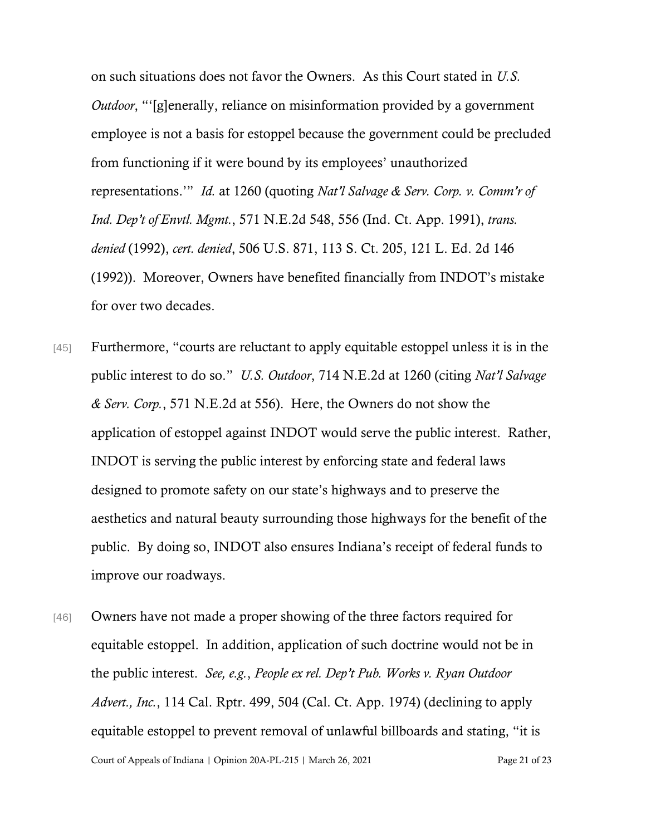on such situations does not favor the Owners. As this Court stated in *U.S. Outdoor*, "'[g]enerally, reliance on misinformation provided by a government employee is not a basis for estoppel because the government could be precluded from functioning if it were bound by its employees' unauthorized representations.'" *Id.* at 1260 (quoting *Nat'l Salvage & Serv. Corp. v. Comm'r of Ind. Dep't of Envtl. Mgmt.*, 571 N.E.2d 548, 556 (Ind. Ct. App. 1991), *trans. denied* (1992), *cert. denied*, 506 U.S. 871, 113 S. Ct. 205, 121 L. Ed. 2d 146 (1992)). Moreover, Owners have benefited financially from INDOT's mistake for over two decades.

- [45] Furthermore, "courts are reluctant to apply equitable estoppel unless it is in the public interest to do so." *U.S. Outdoor*, 714 N.E.2d at 1260 (citing *Nat'l Salvage & Serv. Corp.*, 571 N.E.2d at 556). Here, the Owners do not show the application of estoppel against INDOT would serve the public interest. Rather, INDOT is serving the public interest by enforcing state and federal laws designed to promote safety on our state's highways and to preserve the aesthetics and natural beauty surrounding those highways for the benefit of the public. By doing so, INDOT also ensures Indiana's receipt of federal funds to improve our roadways.
- Court of Appeals of Indiana | Opinion 20A-PL-215 | March 26, 2021 Page 21 of 23 [46] Owners have not made a proper showing of the three factors required for equitable estoppel. In addition, application of such doctrine would not be in the public interest. *See, e.g.*, *People ex rel. Dep't Pub. Works v. Ryan Outdoor Advert., Inc.*, 114 Cal. Rptr. 499, 504 (Cal. Ct. App. 1974) (declining to apply equitable estoppel to prevent removal of unlawful billboards and stating, "it is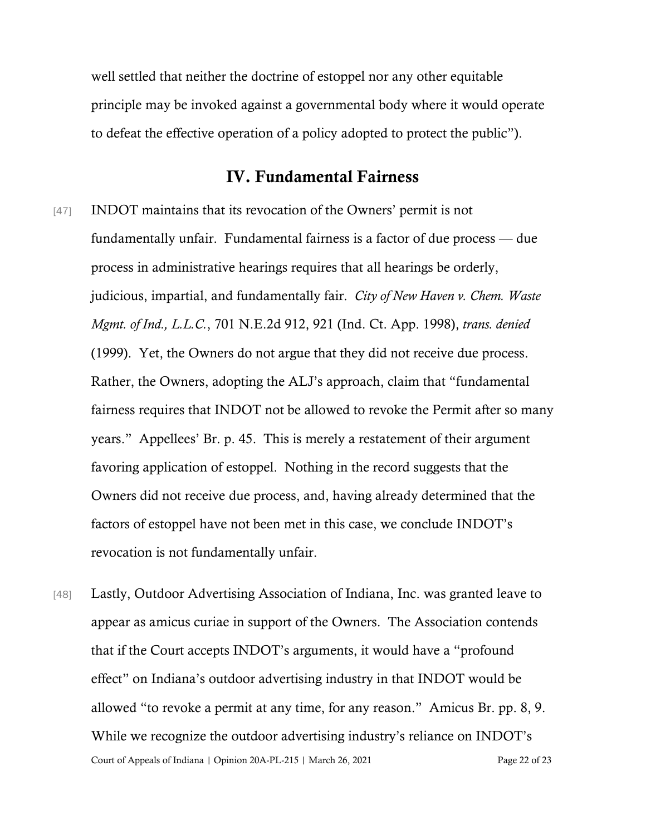well settled that neither the doctrine of estoppel nor any other equitable principle may be invoked against a governmental body where it would operate to defeat the effective operation of a policy adopted to protect the public").

## IV. Fundamental Fairness

- [47] INDOT maintains that its revocation of the Owners' permit is not fundamentally unfair. Fundamental fairness is a factor of due process — due process in administrative hearings requires that all hearings be orderly, judicious, impartial, and fundamentally fair. *City of New Haven v. Chem. Waste Mgmt. of Ind., L.L.C.*, 701 N.E.2d 912, 921 (Ind. Ct. App. 1998), *trans. denied* (1999). Yet, the Owners do not argue that they did not receive due process. Rather, the Owners, adopting the ALJ's approach, claim that "fundamental fairness requires that INDOT not be allowed to revoke the Permit after so many years." Appellees' Br. p. 45. This is merely a restatement of their argument favoring application of estoppel. Nothing in the record suggests that the Owners did not receive due process, and, having already determined that the factors of estoppel have not been met in this case, we conclude INDOT's revocation is not fundamentally unfair.
- Court of Appeals of Indiana | Opinion 20A-PL-215 | March 26, 2021 Page 22 of 23 [48] Lastly, Outdoor Advertising Association of Indiana, Inc. was granted leave to appear as amicus curiae in support of the Owners. The Association contends that if the Court accepts INDOT's arguments, it would have a "profound effect" on Indiana's outdoor advertising industry in that INDOT would be allowed "to revoke a permit at any time, for any reason." Amicus Br. pp. 8, 9. While we recognize the outdoor advertising industry's reliance on INDOT's